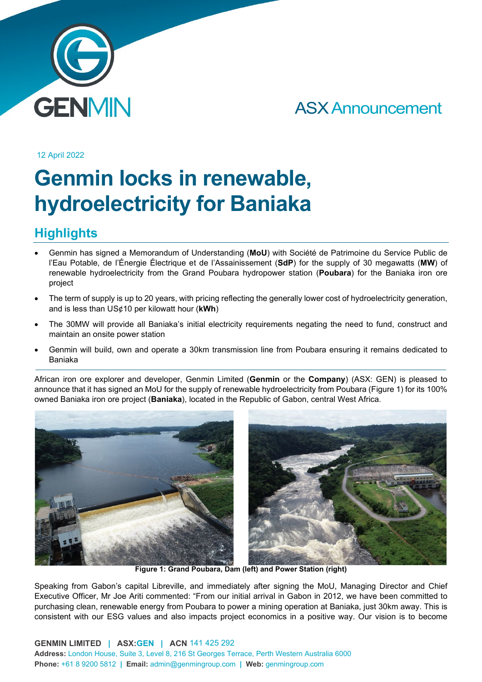

## ASX Announcement

12 April 2022

# **Genmin locks in renewable, hydroelectricity for Baniaka**

### **Highlights**

- Genmin has signed a Memorandum of Understanding (**MoU**) with Société de Patrimoine du Service Public de l'Eau Potable, de l'Énergie Électrique et de l'Assainissement (**SdP**) for the supply of 30 megawatts (**MW**) of renewable hydroelectricity from the Grand Poubara hydropower station (**Poubara**) for the Baniaka iron ore project
- The term of supply is up to 20 years, with pricing reflecting the generally lower cost of hydroelectricity generation, and is less than US¢10 per kilowatt hour (**kWh**)
- The 30MW will provide all Baniaka's initial electricity requirements negating the need to fund, construct and maintain an onsite power station
- Genmin will build, own and operate a 30km transmission line from Poubara ensuring it remains dedicated to Baniaka

African iron ore explorer and developer, Genmin Limited (**Genmin** or the **Company**) (ASX: GEN) is pleased to announce that it has signed an MoU for the supply of renewable hydroelectricity from Poubara (Figure 1) for its 100% owned Baniaka iron ore project (**Baniaka**), located in the Republic of Gabon, central West Africa.



**Figure 1: Grand Poubara, Dam (left) and Power Station (right)**

Speaking from Gabon's capital Libreville, and immediately after signing the MoU, Managing Director and Chief Executive Officer, Mr Joe Ariti commented: "From our initial arrival in Gabon in 2012, we have been committed to purchasing clean, renewable energy from Poubara to power a mining operation at Baniaka, just 30km away. This is consistent with our ESG values and also impacts project economics in a positive way. Our vision is to become

**GENMIN LIMITED | ASX:GEN | ACN** 141 425 292 **Address:** London House, Suite 3, Level 8, 216 St Georges Terrace, Perth Western Australia 6000 **Phone:** +61 8 9200 5812 **| Email:** admin@genmingroup.com **| Web:** genmingroup.com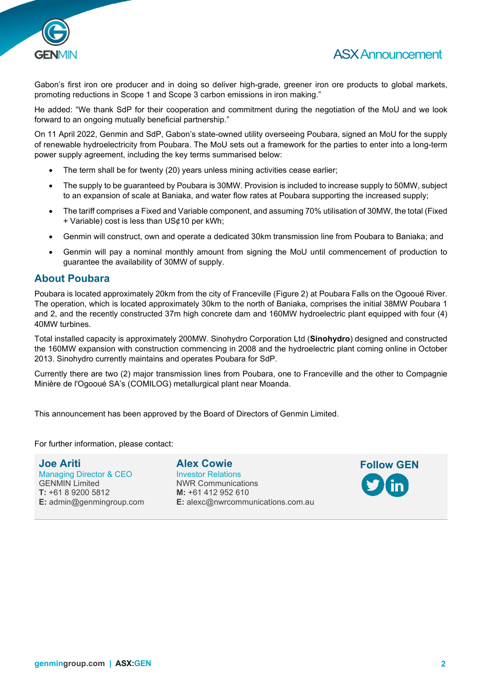

#### ASX Announcement

Gabon's first iron ore producer and in doing so deliver high-grade, greener iron ore products to global markets, promoting reductions in Scope 1 and Scope 3 carbon emissions in iron making."

He added: "We thank SdP for their cooperation and commitment during the negotiation of the MoU and we look forward to an ongoing mutually beneficial partnership."

On 11 April 2022, Genmin and SdP, Gabon's state-owned utility overseeing Poubara, signed an MoU for the supply of renewable hydroelectricity from Poubara. The MoU sets out a framework for the parties to enter into a long-term power supply agreement, including the key terms summarised below:

- The term shall be for twenty (20) years unless mining activities cease earlier;
- The supply to be guaranteed by Poubara is 30MW. Provision is included to increase supply to 50MW, subject to an expansion of scale at Baniaka, and water flow rates at Poubara supporting the increased supply;
- The tariff comprises a Fixed and Variable component, and assuming 70% utilisation of 30MW, the total (Fixed + Variable) cost is less than US¢10 per kWh;
- Genmin will construct, own and operate a dedicated 30km transmission line from Poubara to Baniaka; and
- Genmin will pay a nominal monthly amount from signing the MoU until commencement of production to guarantee the availability of 30MW of supply.

#### **About Poubara**

Poubara is located approximately 20km from the city of Franceville (Figure 2) at Poubara Falls on the Ogooué River. The operation, which is located approximately 30km to the north of Baniaka, comprises the initial 38MW Poubara 1 and 2, and the recently constructed 37m high concrete dam and 160MW hydroelectric plant equipped with four (4) 40MW turbines.

Total installed capacity is approximately 200MW. Sinohydro Corporation Ltd (**Sinohydro**) designed and constructed the 160MW expansion with construction commencing in 2008 and the hydroelectric plant coming online in October 2013. Sinohydro currently maintains and operates Poubara for SdP.

Currently there are two (2) major transmission lines from Poubara, one to Franceville and the other to Compagnie Minière de l'Ogooué SA's (COMILOG) metallurgical plant near Moanda.

This announcement has been approved by the Board of Directors of Genmin Limited.

For further information, please contact:

**Joe Ariti** Managing Director & CEO GENMIN Limited **T:** +61 8 9200 5812 **E:** admin@genmingroup.com **Alex Cowie** Investor Relations NWR Communications **M:** +61 412 952 610 **E:** alexc@nwrcommunications.com.au

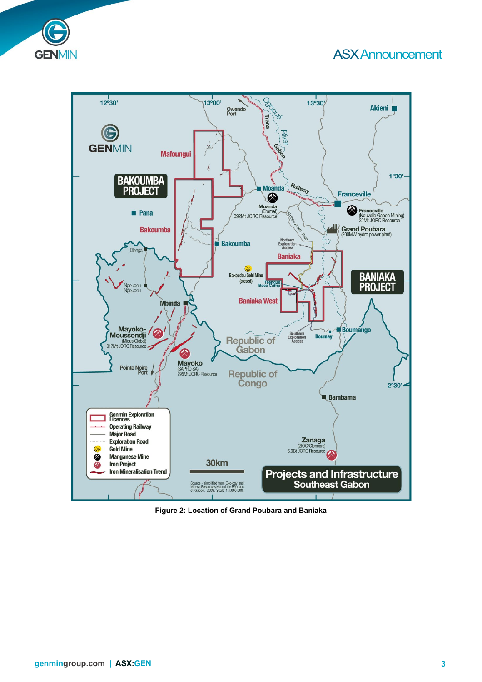#### ASX Announcement





**Figure 2: Location of Grand Poubara and Baniaka**